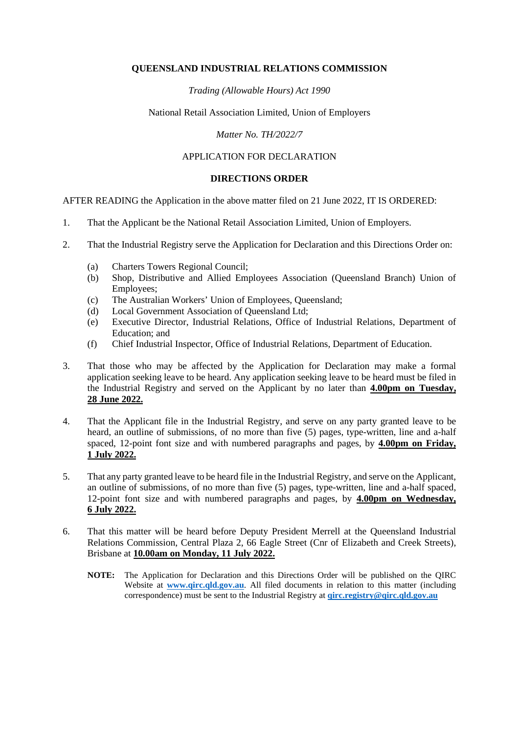#### **QUEENSLAND INDUSTRIAL RELATIONS COMMISSION**

## *Trading (Allowable Hours) Act 1990*

## National Retail Association Limited, Union of Employers

## *Matter No. TH/2022/7*

# APPLICATION FOR DECLARATION

## **DIRECTIONS ORDER**

AFTER READING the Application in the above matter filed on 21 June 2022, IT IS ORDERED:

- 1. That the Applicant be the National Retail Association Limited, Union of Employers.
- 2. That the Industrial Registry serve the Application for Declaration and this Directions Order on:
	- (a) Charters Towers Regional Council;
	- (b) Shop, Distributive and Allied Employees Association (Queensland Branch) Union of Employees;
	- (c) The Australian Workers' Union of Employees, Queensland;
	- (d) Local Government Association of Queensland Ltd;
	- (e) Executive Director, Industrial Relations, Office of Industrial Relations, Department of Education; and
	- (f) Chief Industrial Inspector, Office of Industrial Relations, Department of Education.
- 3. That those who may be affected by the Application for Declaration may make a formal application seeking leave to be heard. Any application seeking leave to be heard must be filed in the Industrial Registry and served on the Applicant by no later than **4.00pm on Tuesday, 28 June 2022.**
- 4. That the Applicant file in the Industrial Registry, and serve on any party granted leave to be heard, an outline of submissions, of no more than five (5) pages, type-written, line and a-half spaced, 12-point font size and with numbered paragraphs and pages, by **4.00pm on Friday, 1 July 2022.**
- 5. That any party granted leave to be heard file in the Industrial Registry, and serve on the Applicant, an outline of submissions, of no more than five (5) pages, type-written, line and a-half spaced, 12-point font size and with numbered paragraphs and pages, by **4.00pm on Wednesday, 6 July 2022.**
- 6. That this matter will be heard before Deputy President Merrell at the Queensland Industrial Relations Commission, Central Plaza 2, 66 Eagle Street (Cnr of Elizabeth and Creek Streets), Brisbane at **10.00am on Monday, 11 July 2022.**
	- **NOTE:** The Application for Declaration and this Directions Order will be published on the QIRC Website at **[www.qirc.qld.gov.au](http://www.qirc.qld.gov.au/)**. All filed documents in relation to this matter (including correspondence) must be sent to the Industrial Registry at **[qirc.registry@qirc.qld.gov.au](mailto:qirc.registry@qirc.qld.gov.au)**